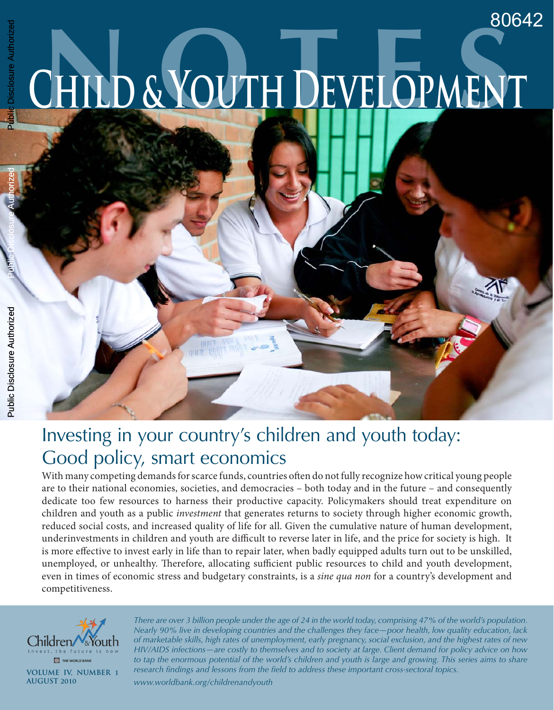Public Disclosure Authorized

Public Disclosure Authorized

# Investing in your country's children and youth today: Good policy, smart economics

HUBI

With many competing demands for scarce funds, countries often do not fully recognize how critical young people are to their national economies, societies, and democracies – both today and in the future – and consequently dedicate too few resources to harness their productive capacity. Policymakers should treat expenditure on children and youth as a public *investment* that generates returns to society through higher economic growth, reduced social costs, and increased quality of life for all. Given the cumulative nature of human development, underinvestments in children and youth are difficult to reverse later in life, and the price for society is high. It is more effective to invest early in life than to repair later, when badly equipped adults turn out to be unskilled, unemployed, or unhealthy. Therefore, allocating sufficient public resources to child and youth development, even in times of economic stress and budgetary constraints, is a *sine qua non* for a country's development and competitiveness.



*There are over 3 billion people under the age of 24 in the world today, comprising 47% of the world's population. Nearly 90% live in developing countries and the challenges they face—poor health, low quality education, lack of marketable skills, high rates of unemployment, early pregnancy, social exclusion, and the highest rates of new HIV/AIDS infections—are costly to themselves and to society at large. Client demand for policy advice on how*  to tap the enormous potential of the world's children and youth is large and growing. This series aims to share *research findings and lessons from the field to address these important cross-sectoral topics.*

*www.worldbank.org/childrenandyouth*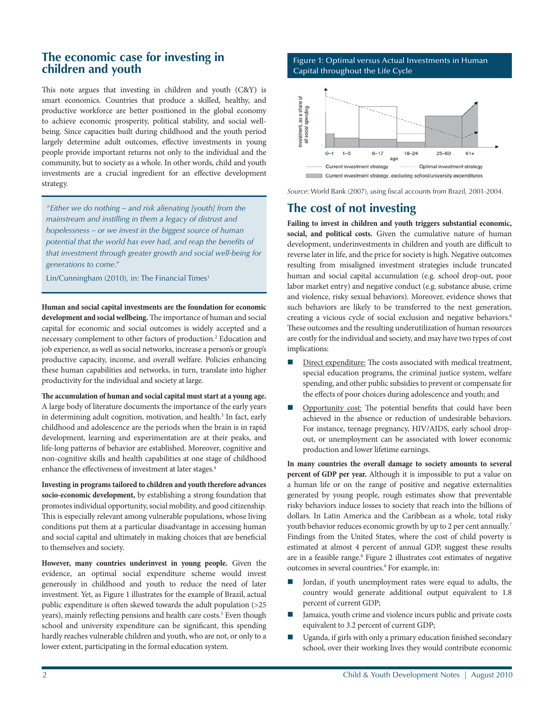## **The economic case for investing in children and youth**

This note argues that investing in children and youth (C&Y) is smart economics. Countries that produce a skilled, healthy, and productive workforce are better positioned in the global economy to achieve economic prosperity, political stability, and social wellbeing. Since capacities built during childhood and the youth period largely determine adult outcomes, effective investments in young people provide important returns not only to the individual and the community, but to society as a whole. In other words, child and youth investments are a crucial ingredient for an effective development strategy.

*"Either we do nothing – and risk alienating [youth] from the mainstream and instilling in them a legacy of distrust and hopelessness – or we invest in the biggest source of human potential that the world has ever had, and reap the benefits of that investment through greater growth and social well-being for generations to come."*

Lin/Cunningham (2010), in: The Financial Times<sup>1</sup>

**Human and social capital investments are the foundation for economic development and social wellbeing.** The importance of human and social capital for economic and social outcomes is widely accepted and a necessary complement to other factors of production.<sup>2</sup> Education and job experience, as well as social networks, increase a person's or group's productive capacity, income, and overall welfare. Policies enhancing these human capabilities and networks, in turn, translate into higher productivity for the individual and society at large.

**The accumulation of human and social capital must start at a young age.** A large body of literature documents the importance of the early years in determining adult cognition, motivation, and health.<sup>3</sup> In fact, early childhood and adolescence are the periods when the brain is in rapid development, learning and experimentation are at their peaks, and life-long patterns of behavior are established. Moreover, cognitive and non-cognitive skills and health capabilities at one stage of childhood enhance the effectiveness of investment at later stages.<sup>4</sup>

**Investing in programs tailored to children and youth therefore advances socio-economic development,** by establishing a strong foundation that promotes individual opportunity, social mobility, and good citizenship. This is especially relevant among vulnerable populations, whose living conditions put them at a particular disadvantage in accessing human and social capital and ultimately in making choices that are beneficial to themselves and society.

**However, many countries underinvest in young people.** Given the evidence, an optimal social expenditure scheme would invest generously in childhood and youth to reduce the need of later investment. Yet, as Figure 1 illustrates for the example of Brazil, actual public expenditure is often skewed towards the adult population (>25 years), mainly reflecting pensions and health care costs.<sup>5</sup> Even though school and university expenditure can be significant, this spending hardly reaches vulnerable children and youth, who are not, or only to a lower extent, participating in the formal education system.

## Figure 1: Optimal versus Actual Investments in Human Capital throughout the Life Cycle



*Source*: World Bank (2007), using fiscal accounts from Brazil, 2001-2004.

# **The cost of not investing**

**Failing to invest in children and youth triggers substantial economic, social, and political costs.** Given the cumulative nature of human development, underinvestments in children and youth are difficult to reverse later in life, and the price for society is high. Negative outcomes resulting from misaligned investment strategies include truncated human and social capital accumulation (e.g. school drop-out, poor labor market entry) and negative conduct (e.g. substance abuse, crime and violence, risky sexual behaviors). Moreover, evidence shows that such behaviors are likely to be transferred to the next generation, creating a vicious cycle of social exclusion and negative behaviors.<sup>6</sup> These outcomes and the resulting underutilization of human resources are costly for the individual and society, and may have two types of cost implications:

- Direct expenditure: The costs associated with medical treatment, special education programs, the criminal justice system, welfare spending, and other public subsidies to prevent or compensate for the effects of poor choices during adolescence and youth; and
- Opportunity cost: The potential benefits that could have been achieved in the absence or reduction of undesirable behaviors. For instance, teenage pregnancy, HIV/AIDS, early school dropout, or unemployment can be associated with lower economic production and lower lifetime earnings.

**In many countries the overall damage to society amounts to several percent of GDP per year.** Although it is impossible to put a value on a human life or on the range of positive and negative externalities generated by young people, rough estimates show that preventable risky behaviors induce losses to society that reach into the billions of dollars. In Latin America and the Caribbean as a whole, total risky youth behavior reduces economic growth by up to 2 per cent annually.<sup>7</sup> Findings from the United States, where the cost of child poverty is estimated at almost 4 percent of annual GDP, suggest these results are in a feasible range.<sup>8</sup> Figure 2 illustrates cost estimates of negative outcomes in several countries.<sup>9</sup> For example, in:

- Jordan, if youth unemployment rates were equal to adults, the country would generate additional output equivalent to 1.8 percent of current GDP;
- Jamaica, youth crime and violence incurs public and private costs equivalent to 3.2 percent of current GDP;
- Uganda, if girls with only a primary education finished secondary school, over their working lives they would contribute economic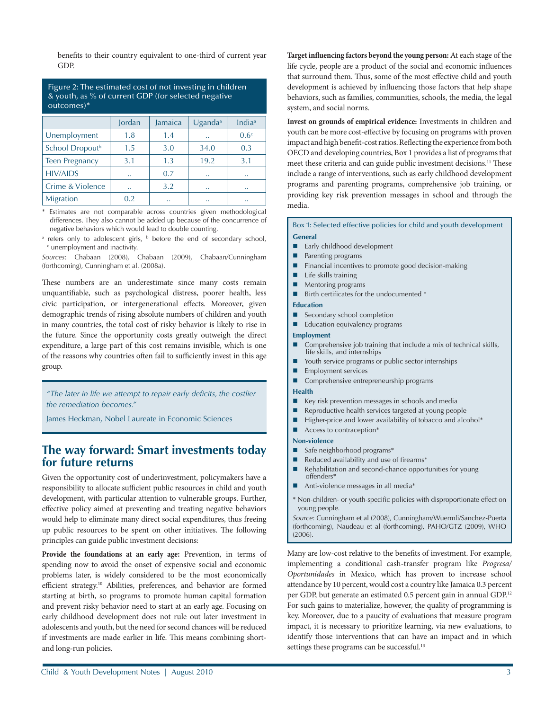benefits to their country equivalent to one-third of current year GDP.

Figure 2: The estimated cost of not investing in children & youth, as % of current GDP (for selected negative outcomes)\*

|                             | Jordan    | Jamaica              | Uganda <sup>a</sup>  | Indi $a^a$           |
|-----------------------------|-----------|----------------------|----------------------|----------------------|
| Unemployment                | 1.8       | 1.4                  | $\ddotsc$            | 0.6 <sup>c</sup>     |
| School Dropout <sup>b</sup> | 1.5       | 3.0                  | 34.0                 | 0.3                  |
| <b>Teen Pregnancy</b>       | 3.1       | 1.3                  | 19.2                 | 3.1                  |
| <b>HIV/AIDS</b>             | $\ddotsc$ | 0.7                  | $\ddotsc$            | $\ddotsc$            |
| Crime & Violence            | $\ddotsc$ | 3.2                  | $\ddotsc$            | $\ddot{\phantom{1}}$ |
| Migration                   | 0.2       | $\ddot{\phantom{0}}$ | $\ddot{\phantom{0}}$ | $\ddot{\phantom{0}}$ |

\* Estimates are not comparable across countries given methodological differences. They also cannot be added up because of the concurrence of negative behaviors which would lead to double counting.

a refers only to adolescent girls,  $\overline{b}$  before the end of secondary school, c unemployment and inactivity.

*Sources*: Chabaan (2008), Chabaan (2009), Chabaan/Cunningham (forthcoming), Cunningham et al. (2008a).

These numbers are an underestimate since many costs remain unquantifiable, such as psychological distress, poorer health, less civic participation, or intergenerational effects. Moreover, given demographic trends of rising absolute numbers of children and youth in many countries, the total cost of risky behavior is likely to rise in the future. Since the opportunity costs greatly outweigh the direct expenditure, a large part of this cost remains invisible, which is one of the reasons why countries often fail to sufficiently invest in this age group.

*"The later in life we attempt to repair early deficits, the costlier the remediation becomes."*

James Heckman, Nobel Laureate in Economic Sciences

# **The way forward: Smart investments today for future returns**

Given the opportunity cost of underinvestment, policymakers have a responsibility to allocate sufficient public resources in child and youth development, with particular attention to vulnerable groups. Further, effective policy aimed at preventing and treating negative behaviors would help to eliminate many direct social expenditures, thus freeing up public resources to be spent on other initiatives. The following principles can guide public investment decisions:

**Provide the foundations at an early age:** Prevention, in terms of spending now to avoid the onset of expensive social and economic problems later, is widely considered to be the most economically efficient strategy.10 Abilities, preferences, and behavior are formed starting at birth, so programs to promote human capital formation and prevent risky behavior need to start at an early age. Focusing on early childhood development does not rule out later investment in adolescents and youth, but the need for second chances will be reduced if investments are made earlier in life. This means combining shortand long-run policies.

**Target influencing factors beyond the young person:** At each stage of the life cycle, people are a product of the social and economic influences that surround them. Thus, some of the most effective child and youth development is achieved by influencing those factors that help shape behaviors, such as families, communities, schools, the media, the legal system, and social norms.

**Invest on grounds of empirical evidence:** Investments in children and youth can be more cost-effective by focusing on programs with proven impact and high benefit-cost ratios. Reflecting the experience from both OECD and developing countries, Box 1 provides a list of programs that meet these criteria and can guide public investment decisions.11 These include a range of interventions, such as early childhood development programs and parenting programs, comprehensive job training, or providing key risk prevention messages in school and through the media.

Box 1: Selected effective policies for child and youth development **General**

- Early childhood development
- Parenting programs
- Financial incentives to promote good decision-making
- Life skills training
- $\blacksquare$  Mentoring programs
- $\blacksquare$  Birth certificates for the undocumented  $*$

#### **Education**

- Secondary school completion
- Education equivalency programs

#### **Employment**

- Comprehensive job training that include a mix of technical skills, life skills, and internships
- Youth service programs or public sector internships
- $\blacksquare$  Employment services
- Comprehensive entrepreneurship programs

## **Health**

- Key risk prevention messages in schools and media
- $\blacksquare$  Reproductive health services targeted at young people
- $\blacksquare$  Higher-price and lower availability of tobacco and alcohol\*
- $\blacksquare$  Access to contraception\*

#### **Non-violence**

- $\blacksquare$  Safe neighborhood programs\*
- Reduced availability and use of firearms\*
- Rehabilitation and second-chance opportunities for young offenders\*
- Anti-violence messages in all media\*
- \* Non-children- or youth-specific policies with disproportionate effect on young people.

*Source*: Cunningham et al (2008), Cunningham/Wuermli/Sanchez-Puerta (forthcoming), Naudeau et al (forthcoming), PAHO/GTZ (2009), WHO (2006).

Many are low-cost relative to the benefits of investment. For example, implementing a conditional cash-transfer program like *Progresa/ Oportunidades* in Mexico, which has proven to increase school attendance by 10 percent, would cost a country like Jamaica 0.3 percent per GDP, but generate an estimated 0.5 percent gain in annual GDP.<sup>12</sup> For such gains to materialize, however, the quality of programming is key. Moreover, due to a paucity of evaluations that measure program impact, it is necessary to prioritize learning, via new evaluations, to identify those interventions that can have an impact and in which settings these programs can be successful.<sup>13</sup>